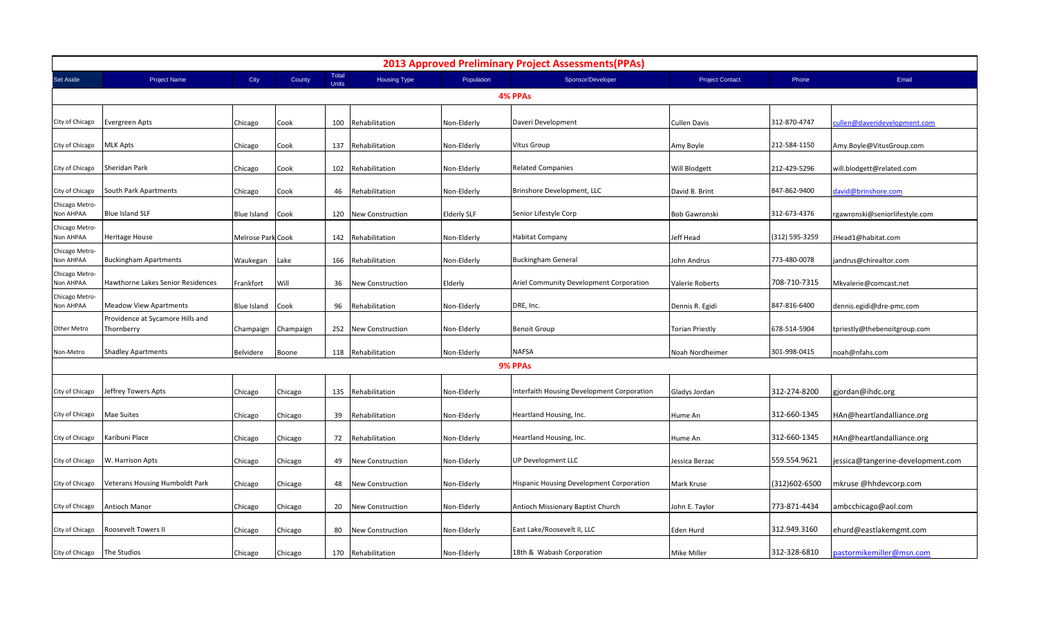| <b>2013 Approved Preliminary Project Assessments (PPAs)</b> |                                                |                   |           |                |                         |                    |                                                 |                        |                |                                   |  |  |
|-------------------------------------------------------------|------------------------------------------------|-------------------|-----------|----------------|-------------------------|--------------------|-------------------------------------------------|------------------------|----------------|-----------------------------------|--|--|
| Set Aside                                                   | <b>Project Name</b>                            | City              | County    | Total<br>Units | <b>Housing Type</b>     | Population         | Sponsor/Developer                               | <b>Project Contact</b> | Phone          | Email                             |  |  |
| 4% PPAs                                                     |                                                |                   |           |                |                         |                    |                                                 |                        |                |                                   |  |  |
| City of Chicago                                             | Evergreen Apts                                 | Chicago           | Cook      | 100            | Rehabilitation          | Non-Elderly        | Daveri Development                              | <b>Cullen Davis</b>    | 312-870-4747   | cullen@daveridevelopment.com      |  |  |
| City of Chicago                                             | MLK Apts                                       | Chicago           | Cook      | 137            | Rehabilitation          | Non-Elderly        | Vitus Group                                     | Amy Boyle              | 212-584-1150   | Amy.Boyle@VitusGroup.com          |  |  |
| City of Chicago                                             | Sheridan Park                                  | Chicago           | Cook      |                | 102 Rehabilitation      | Non-Elderly        | <b>Related Companies</b>                        | Will Blodgett          | 212-429-5296   | will.blodgett@related.com         |  |  |
| City of Chicago                                             | South Park Apartments                          | Chicago           | Cook      | 46             | Rehabilitation          | Non-Elderly        | Brinshore Development, LLC                      | David B. Brint         | 847-862-9400   | david@brinshore.com               |  |  |
| Chicago Metro-<br>Non AHPAA                                 | Blue Island SLF                                | Blue Island       | Cook      | 120            | <b>New Construction</b> | <b>Elderly SLF</b> | Senior Lifestyle Corp                           | <b>Bob Gawronski</b>   | 312-673-4376   | rgawronski@seniorlifestyle.com    |  |  |
| Chicago Metro-<br>Non AHPAA                                 | Heritage House                                 | Melrose Park Cook |           |                | 142 Rehabilitation      | Non-Elderly        | Habitat Company                                 | Jeff Head              | (312) 595-3259 | JHead1@habitat.com                |  |  |
| Chicago Metro-<br>Non AHPAA                                 | Buckingham Apartments                          | Waukegan          | Lake      |                | 166 Rehabilitation      | Non-Elderly        | <b>Buckingham General</b>                       | John Andrus            | 773-480-0078   | jandrus@chirealtor.com            |  |  |
| Chicago Metro-<br>Non AHPAA                                 | Hawthorne Lakes Senior Residences              | Frankfort         | Will      | 36             | <b>New Construction</b> | Elderly            | Ariel Community Development Corporation         | Valerie Roberts        | 708-710-7315   | Mkvalerie@comcast.net             |  |  |
| Chicago Metro-<br>Non AHPAA                                 | Meadow View Apartments                         | Blue Island       | Cook      | 96             | Rehabilitation          | Non-Elderly        | DRE, Inc.                                       | Dennis R. Egidi        | 847-816-6400   | dennis.egidi@dre-pmc.com          |  |  |
| Other Metro                                                 | Providence at Sycamore Hills and<br>Thornberry | Champaign         | Champaign |                | 252 New Construction    | Non-Elderly        | <b>Benoit Group</b>                             | <b>Torian Priestly</b> | 678-514-5904   | tpriestly@thebenoitgroup.com      |  |  |
| Non-Metro                                                   | <b>Shadley Apartments</b>                      | Belvidere         | Boone     |                | 118 Rehabilitation      | Non-Elderly        | <b>NAFSA</b>                                    | Noah Nordheimer        | 301-998-0415   | noah@nfahs.com                    |  |  |
|                                                             |                                                |                   |           |                |                         |                    | 9% PPAs                                         |                        |                |                                   |  |  |
| City of Chicago                                             | Jeffrey Towers Apts                            | Chicago           | Chicago   |                | 135 Rehabilitation      | Non-Elderly        | Interfaith Housing Development Corporation      | Gladys Jordan          | 312-274-8200   | gjordan@ihdc.org                  |  |  |
| City of Chicago                                             | Mae Suites                                     | Chicago           | Chicago   | 39             | Rehabilitation          | Non-Elderly        | Heartland Housing, Inc.                         | Hume An                | 312-660-1345   | HAn@heartlandalliance.org         |  |  |
| City of Chicago                                             | Karibuni Place                                 | Chicago           | Chicago   | 72             | Rehabilitation          | Non-Elderly        | Heartland Housing, Inc.                         | Hume An                | 312-660-1345   | HAn@heartlandalliance.org         |  |  |
| City of Chicago                                             | W. Harrison Apts                               | Chicago           | Chicago   | 49             | New Construction        | Non-Elderly        | UP Development LLC                              | Jessica Berzac         | 559.554.9621   | jessica@tangerine-development.com |  |  |
| City of Chicago                                             | Veterans Housing Humboldt Park                 | Chicago           | Chicago   | 48             | New Construction        | Non-Elderly        | <b>Hispanic Housing Development Corporation</b> | Mark Kruse             | (312)602-6500  | mkruse @hhdevcorp.com             |  |  |
| City of Chicago                                             | Antioch Manor                                  | Chicago           | Chicago   | 20             | <b>New Construction</b> | Non-Elderly        | Antioch Missionary Baptist Church               | John E. Taylor         | 773-871-4434   | ambcchicago@aol.com               |  |  |
| City of Chicago                                             | Roosevelt Towers II                            | Chicago           | Chicago   | 80             | New Construction        | Non-Elderly        | East Lake/Roosevelt II, LLC                     | Eden Hurd              | 312.949.3160   | ehurd@eastlakemgmt.com            |  |  |
| City of Chicago                                             | The Studios                                    | Chicago           | Chicago   |                | 170 Rehabilitation      | Non-Elderly        | 18th & Wabash Corporation                       | Mike Miller            | 312-328-6810   | pastormikemiller@msn.com          |  |  |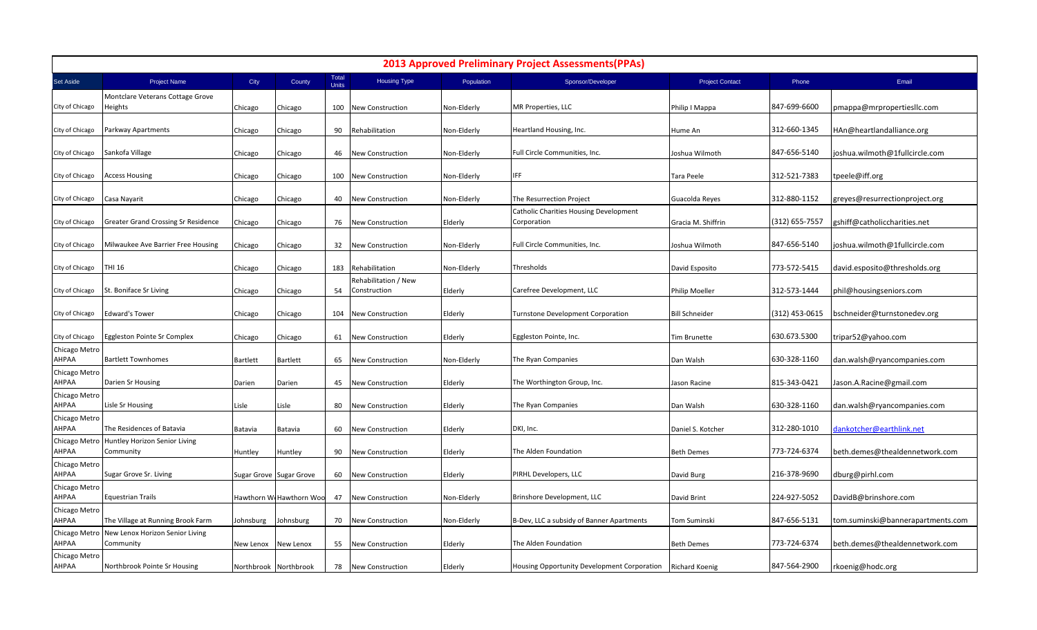| <b>2013 Approved Preliminary Project Assessments (PPAs)</b> |                                              |                 |                         |                       |                                      |             |                                                              |                        |                |                                   |  |  |
|-------------------------------------------------------------|----------------------------------------------|-----------------|-------------------------|-----------------------|--------------------------------------|-------------|--------------------------------------------------------------|------------------------|----------------|-----------------------------------|--|--|
| Set Aside                                                   | <b>Project Name</b>                          | City            | County                  | Total<br><b>Units</b> | <b>Housing Type</b>                  | Population  | Sponsor/Developer                                            | <b>Project Contact</b> | Phone          | Email                             |  |  |
|                                                             | Montclare Veterans Cottage Grove             |                 |                         |                       |                                      |             |                                                              |                        |                |                                   |  |  |
| City of Chicago                                             | Heights                                      | Chicago         | Chicago                 | 100                   | <b>New Construction</b>              | Non-Elderly | MR Properties, LLC                                           | Philip I Mappa         | 847-699-6600   | pmappa@mrpropertiesllc.com        |  |  |
| City of Chicago                                             | Parkway Apartments                           | Chicago         | Chicago                 | 90                    | Rehabilitation                       | Non-Elderly | Heartland Housing, Inc.                                      | Hume An                | 312-660-1345   | HAn@heartlandalliance.org         |  |  |
| City of Chicago                                             | Sankofa Village                              | Chicago         | Chicago                 | 46                    | New Construction                     | Non-Elderly | Full Circle Communities, Inc.                                | Joshua Wilmoth         | 847-656-5140   | joshua.wilmoth@1fullcircle.com    |  |  |
| City of Chicago                                             | <b>Access Housing</b>                        | Chicago         | Chicago                 | 100                   | <b>New Construction</b>              | Non-Elderly | IFF                                                          | Tara Peele             | 312-521-7383   | tpeele@iff.org                    |  |  |
| City of Chicago                                             | Casa Nayarit                                 | Chicago         | Chicago                 | 40                    | New Construction                     | Non-Elderly | The Resurrection Project                                     | Guacolda Reyes         | 312-880-1152   | greyes@resurrectionproject.org    |  |  |
| City of Chicago                                             | <b>Greater Grand Crossing Sr Residence</b>   | Chicago         | Chicago                 | 76                    | New Construction                     | Elderly     | <b>Catholic Charities Housing Development</b><br>Corporation | Gracia M. Shiffrin     | (312) 655-7557 | gshiff@catholiccharities.net      |  |  |
| City of Chicago                                             | Milwaukee Ave Barrier Free Housing           | Chicago         | Chicago                 | 32                    | <b>New Construction</b>              | Non-Elderly | Full Circle Communities, Inc.                                | Joshua Wilmoth         | 847-656-5140   | joshua.wilmoth@1fullcircle.com    |  |  |
| City of Chicago                                             | <b>THI 16</b>                                | Chicago         | Chicago                 | 183                   | Rehabilitation                       | Non-Elderly | Thresholds                                                   | David Esposito         | 773-572-5415   | david.esposito@thresholds.org     |  |  |
| City of Chicago                                             | St. Boniface Sr Living                       | Chicago         | Chicago                 | 54                    | Rehabilitation / New<br>Construction | Elderly     | Carefree Development, LLC                                    | Philip Moeller         | 312-573-1444   | phil@housingseniors.com           |  |  |
| City of Chicago                                             | <b>Edward's Tower</b>                        | Chicago         | Chicago                 | 104                   | <b>New Construction</b>              | Elderly     | Turnstone Development Corporation                            | <b>Bill Schneider</b>  | (312) 453-0615 | bschneider@turnstonedev.org       |  |  |
| City of Chicago                                             | Eggleston Pointe Sr Complex                  | Chicago         | Chicago                 | 61                    | New Construction                     | Elderly     | Eggleston Pointe, Inc.                                       | Tim Brunette           | 630.673.5300   | tripar52@yahoo.com                |  |  |
| Chicago Metro<br>AHPAA                                      | <b>Bartlett Townhomes</b>                    | <b>Bartlett</b> | Bartlett                | 65                    | <b>New Construction</b>              | Non-Elderly | The Ryan Companies                                           | Dan Walsh              | 630-328-1160   | dan.walsh@ryancompanies.com       |  |  |
| Chicago Metro<br>АНРАА                                      | Darien Sr Housing                            | Darien          | Darien                  | 45                    | New Construction                     | Elderly     | The Worthington Group, Inc.                                  | Jason Racine           | 815-343-0421   | Jason.A.Racine@gmail.com          |  |  |
| Chicago Metro<br>АНРАА                                      | Lisle Sr Housing                             | Lisle           | Lisle                   | 80                    | New Construction                     | Elderly     | The Ryan Companies                                           | Dan Walsh              | 630-328-1160   | dan.walsh@ryancompanies.com       |  |  |
| Chicago Metro<br>AHPAA                                      | The Residences of Batavia                    | Batavia         | Batavia                 | 60                    | New Construction                     | Elderly     | DKI, Inc.                                                    | Daniel S. Kotcher      | 312-280-1010   | dankotcher@earthlink.net          |  |  |
| Chicago Metrc<br>AHPAA                                      | Huntley Horizon Senior Living<br>Community   | Huntley         | Huntley                 | 90                    | New Construction                     | Elderly     | The Alden Foundation                                         | <b>Beth Demes</b>      | 773-724-6374   | beth.demes@thealdennetwork.com    |  |  |
| Chicago Metro<br>АНРАА                                      | Sugar Grove Sr. Living                       |                 | Sugar Grove Sugar Grove | 60                    | New Construction                     | Elderly     | PIRHL Developers, LLC                                        | David Burg             | 216-378-9690   | dburg@pirhl.com                   |  |  |
| Chicago Metro<br>АНРАА                                      | <b>Equestrian Trails</b>                     |                 | Hawthorn W Hawthorn Woo | 47                    | New Construction                     | Non-Elderly | Brinshore Development, LLC                                   | David Brint            | 224-927-5052   | DavidB@brinshore.com              |  |  |
| Chicago Metro<br>AHPAA                                      | The Village at Running Brook Farm            | Johnsburg       | Johnsburg               | 70                    | New Construction                     | Non-Elderly | B-Dev, LLC a subsidy of Banner Apartments                    | Tom Suminski           | 847-656-5131   | tom.suminski@bannerapartments.com |  |  |
| Chicago Metro<br>AHPAA                                      | New Lenox Horizon Senior Living<br>Community | New Lenox       | New Lenox               | 55                    | New Construction                     | Elderly     | The Alden Foundation                                         | <b>Beth Demes</b>      | 773-724-6374   | beth.demes@thealdennetwork.com    |  |  |
| Chicago Metro<br>AHPAA                                      | Northbrook Pointe Sr Housing                 |                 | Northbrook Northbrook   | 78                    | <b>New Construction</b>              | Elderly     | Housing Opportunity Development Corporation Richard Koenig   |                        | 847-564-2900   | rkoenig@hodc.org                  |  |  |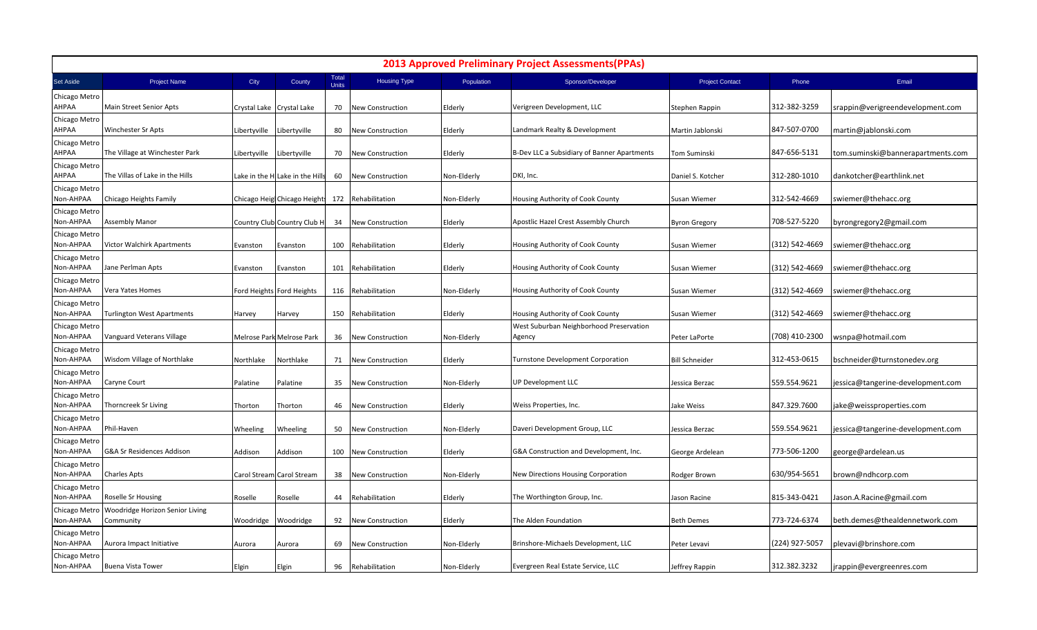| <b>2013 Approved Preliminary Project Assessments (PPAs)</b> |                                              |              |                                 |                       |                         |             |                                                   |                        |                |                                   |  |
|-------------------------------------------------------------|----------------------------------------------|--------------|---------------------------------|-----------------------|-------------------------|-------------|---------------------------------------------------|------------------------|----------------|-----------------------------------|--|
| Set Aside                                                   | <b>Project Name</b>                          | City         | County                          | Total<br><b>Units</b> | <b>Housing Type</b>     | Population  | Sponsor/Developer                                 | <b>Project Contact</b> | Phone          | Email                             |  |
| Chicago Metro<br>AHPAA                                      | Main Street Senior Apts                      |              | Crystal Lake Crystal Lake       | 70                    | <b>New Construction</b> | Elderly     | Verigreen Development, LLC                        | Stephen Rappin         | 312-382-3259   | srappin@verigreendevelopment.com  |  |
| Chicago Metro<br>АНРАА                                      | <b>Winchester Sr Apts</b>                    | Libertyville | Libertyville                    | 80                    | New Construction        | Elderly     | Landmark Realty & Development                     | Martin Jablonski       | 847-507-0700   | martin@jablonski.com              |  |
| Chicago Metro<br>АНРАА                                      | The Village at Winchester Park               | Libertyville | Libertyville                    | 70                    | New Construction        | Elderly     | B-Dev LLC a Subsidiary of Banner Apartments       | Tom Suminski           | 847-656-5131   | tom.suminski@bannerapartments.com |  |
| Chicago Metro<br>AHPAA                                      | The Villas of Lake in the Hills              |              | Lake in the H Lake in the Hills | 60                    | <b>New Construction</b> | Non-Elderly | DKI, Inc.                                         | Daniel S. Kotcher      | 312-280-1010   | dankotcher@earthlink.net          |  |
| Chicago Metro<br>Non-AHPAA                                  | Chicago Heights Family                       |              | Chicago Heigl Chicago Heights   |                       | 172 Rehabilitation      | Non-Elderly | Housing Authority of Cook County                  | Susan Wiemer           | 312-542-4669   | swiemer@thehacc.org               |  |
| Chicago Metro<br>Non-AHPAA                                  | <b>Assembly Manor</b>                        |              | Country Club Country Club H     | 34                    | New Construction        | Elderly     | Apostlic Hazel Crest Assembly Church              | <b>Byron Gregory</b>   | 708-527-5220   | byrongregory2@gmail.com           |  |
| Chicago Metro<br>Non-AHPAA                                  | <b>Victor Walchirk Apartments</b>            | Evanston     | Evanston                        | 100                   | Rehabilitation          | Elderly     | Housing Authority of Cook County                  | Susan Wiemer           | (312) 542-4669 | swiemer@thehacc.org               |  |
| Chicago Metro<br>Non-AHPAA                                  | Jane Perlman Apts                            | Evanston     | Evanston                        | 101                   | Rehabilitation          | Elderly     | Housing Authority of Cook County                  | Susan Wiemer           | 312) 542-4669  | swiemer@thehacc.org               |  |
| Chicago Metro<br>Non-AHPAA                                  | Vera Yates Homes                             |              | Ford Heights Ford Heights       | 116                   | Rehabilitation          | Non-Elderly | Housing Authority of Cook County                  | Susan Wiemer           | (312) 542-4669 | swiemer@thehacc.org               |  |
| Chicago Metro<br>Non-AHPAA                                  | <b>Turlington West Apartments</b>            | Harvey       | Harvey                          | 150                   | Rehabilitation          | Elderly     | Housing Authority of Cook County                  | Susan Wiemer           | (312) 542-4669 | swiemer@thehacc.org               |  |
| Chicago Metro<br>Non-AHPAA                                  | Vanguard Veterans Village                    |              | Melrose Park Melrose Park       | 36                    | <b>New Construction</b> | Non-Elderly | West Suburban Neighborhood Preservation<br>Agency | Peter LaPorte          | (708) 410-2300 | wsnpa@hotmail.com                 |  |
| Chicago Metro<br>Non-AHPAA                                  | Wisdom Village of Northlake                  | Northlake    | Northlake                       | 71                    | New Construction        | Elderly     | <b>Turnstone Development Corporation</b>          | <b>Bill Schneider</b>  | 312-453-0615   | bschneider@turnstonedev.org       |  |
| Chicago Metro<br>Non-AHPAA                                  | Caryne Court                                 | Palatine     | Palatine                        | 35                    | New Construction        | Non-Elderly | UP Development LLC                                | Jessica Berzac         | 559.554.9621   | jessica@tangerine-development.com |  |
| Chicago Metro<br>Non-AHPAA                                  | <b>Thorncreek Sr Living</b>                  | Thorton      | Thorton                         | 46                    | New Construction        | Elderly     | Weiss Properties, Inc.                            | Jake Weiss             | 847.329.7600   | jake@weissproperties.com          |  |
| Chicago Metro<br>Non-AHPAA                                  | Phil-Haven                                   | Wheeling     | Wheeling                        | 50                    | New Construction        | Non-Elderly | Daveri Development Group, LLC                     | Jessica Berzac         | 559.554.9621   | jessica@tangerine-development.com |  |
| Chicago Metrc<br>Non-AHPAA                                  | G&A Sr Residences Addison                    | Addison      | Addison                         | 100                   | New Construction        | Elderly     | G&A Construction and Development, Inc.            | George Ardelean        | 773-506-1200   | george@ardelean.us                |  |
| Chicago Metro<br>Non-AHPAA                                  | <b>Charles Apts</b>                          |              | Carol Stream Carol Stream       | 38                    | New Construction        | Non-Elderly | New Directions Housing Corporation                | Rodger Brown           | 630/954-5651   | brown@ndhcorp.com                 |  |
| Chicago Metro<br>Non-AHPAA                                  | Roselle Sr Housing                           | Roselle      | Roselle                         | 44                    | Rehabilitation          | Elderly     | The Worthington Group, Inc.                       | Jason Racine           | 815-343-0421   | Jason.A.Racine@gmail.com          |  |
| Chicago Metro<br>Non-AHPAA                                  | Woodridge Horizon Senior Living<br>Community | Woodridge    | Woodridge                       | 92                    | <b>New Construction</b> | Elderly     | The Alden Foundation                              | <b>Beth Demes</b>      | 773-724-6374   | beth.demes@thealdennetwork.com    |  |
| Chicago Metro<br>Non-AHPAA                                  | Aurora Impact Initiative                     | Aurora       | Aurora                          | 69                    | New Construction        | Non-Elderly | Brinshore-Michaels Development, LLC               | Peter Levavi           | (224) 927-5057 | plevavi@brinshore.com             |  |
| Chicago Metro<br>Non-AHPAA                                  | <b>Buena Vista Tower</b>                     | Elgin        | Elgin                           | 96                    | Rehabilitation          | Non-Elderly | Evergreen Real Estate Service, LLC                | Jeffrey Rappin         | 312.382.3232   | jrappin@evergreenres.com          |  |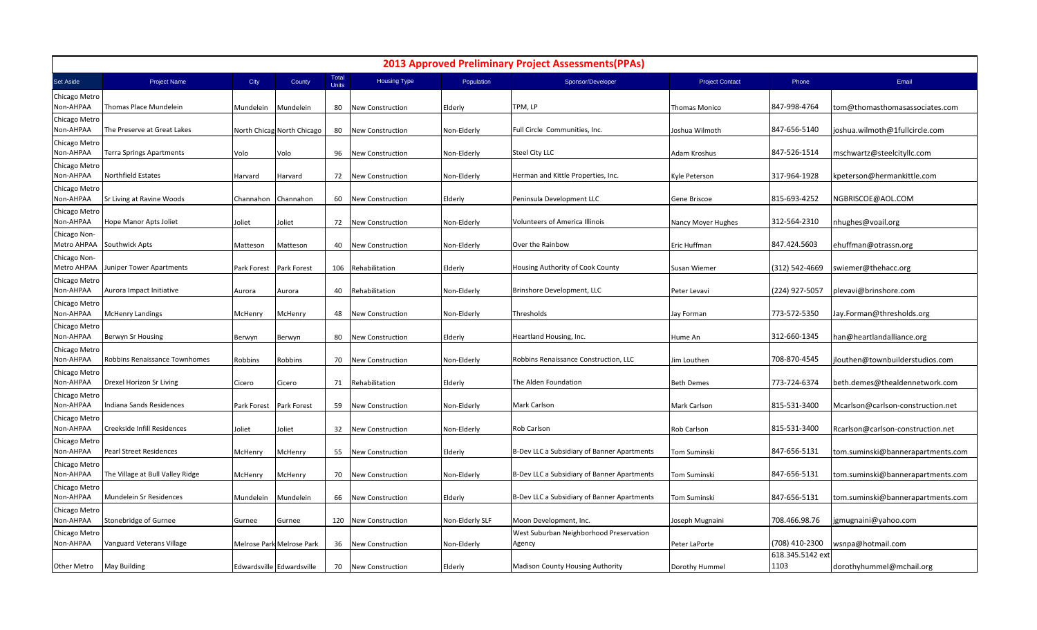| <b>2013 Approved Preliminary Project Assessments (PPAs)</b> |                                  |             |                            |                              |                         |                 |                                                   |                        |                          |                                   |  |
|-------------------------------------------------------------|----------------------------------|-------------|----------------------------|------------------------------|-------------------------|-----------------|---------------------------------------------------|------------------------|--------------------------|-----------------------------------|--|
| Set Aside                                                   | <b>Project Name</b>              | City        | County                     | <b>Total</b><br><b>Units</b> | <b>Housing Type</b>     | Population      | Sponsor/Developer                                 | <b>Project Contact</b> | Phone                    | Email                             |  |
| Chicago Metro<br>Non-AHPAA                                  | Thomas Place Mundelein           | Mundelein   | Mundelein                  | 80                           | <b>New Construction</b> | Elderly         | TPM, LP                                           | Thomas Monico          | 847-998-4764             | tom@thomasthomasassociates.com    |  |
| Chicago Metrc<br>Non-AHPAA                                  | The Preserve at Great Lakes      |             | North Chicag North Chicago | 80                           | New Construction        | Non-Elderly     | Full Circle Communities, Inc.                     | Joshua Wilmoth         | 847-656-5140             | joshua.wilmoth@1fullcircle.com    |  |
| Chicago Metro<br>Non-AHPAA                                  | <b>Terra Springs Apartments</b>  | Volo        | Volo                       | 96                           | <b>New Construction</b> | Non-Elderly     | Steel City LLC                                    | Adam Kroshus           | 847-526-1514             | mschwartz@steelcityllc.com        |  |
| Chicago Metro<br>Non-AHPAA                                  | Northfield Estates               | Harvard     | Harvard                    | 72                           | <b>New Construction</b> | Non-Elderly     | Herman and Kittle Properties, Inc.                | Kyle Peterson          | 317-964-1928             | kpeterson@hermankittle.com        |  |
| Chicago Metrc<br>Non-AHPAA                                  | Sr Living at Ravine Woods        | Channahon   | Channahon                  | 60                           | New Construction        | Elderly         | Peninsula Development LLC                         | Gene Briscoe           | 815-693-4252             | NGBRISCOE@AOL.COM                 |  |
| Chicago Metro<br>Non-AHPAA                                  | Hope Manor Apts Joliet           | Joliet      | Joliet                     | 72                           | <b>New Construction</b> | Non-Elderly     | Volunteers of America Illinois                    | Nancy Moyer Hughes     | 312-564-2310             | nhughes@voail.org                 |  |
| Chicago Non-<br>Metro AHPAA                                 | Southwick Apts                   | Matteson    | Matteson                   | 40                           | <b>New Construction</b> | Non-Elderly     | Over the Rainbow                                  | Eric Huffman           | 847.424.5603             | ehuffman@otrassn.org              |  |
| Chicago Non-<br>Metro AHPAA                                 | Juniper Tower Apartments         | Park Forest | Park Forest                | 106                          | Rehabilitation          | Elderly         | Housing Authority of Cook County                  | Susan Wiemer           | (312) 542-4669           | swiemer@thehacc.org               |  |
| Chicago Metro<br>Non-AHPAA                                  | Aurora Impact Initiative         | Aurora      | Aurora                     | 40                           | Rehabilitation          | Non-Elderly     | Brinshore Development, LLC                        | Peter Levavi           | (224) 927-5057           | plevavi@brinshore.com             |  |
| Chicago Metro<br>Non-AHPAA                                  | <b>McHenry Landings</b>          | McHenry     | McHenry                    | 48                           | New Construction        | Non-Elderly     | Thresholds                                        | Jay Forman             | 773-572-5350             | Jay.Forman@thresholds.org         |  |
| Chicago Metro<br>Non-AHPAA                                  | Berwyn Sr Housing                | Berwyn      | Berwyn                     | 80                           | <b>New Construction</b> | Elderly         | Heartland Housing, Inc.                           | Hume An                | 312-660-1345             | han@heartlandalliance.org         |  |
| Chicago Metro<br>Non-AHPAA                                  | Robbins Renaissance Townhomes    | Robbins     | Robbins                    | 70                           | <b>New Construction</b> | Non-Elderly     | Robbins Renaissance Construction, LLC             | Jim Louthen            | 708-870-4545             | jlouthen@townbuilderstudios.com   |  |
| Chicago Metro<br>Non-AHPAA                                  | Drexel Horizon Sr Living         | Cicero      | Cicero                     | 71                           | Rehabilitation          | Elderly         | The Alden Foundation                              | <b>Beth Demes</b>      | 773-724-6374             | beth.demes@thealdennetwork.com    |  |
| Chicago Metrc<br>Non-AHPAA                                  | Indiana Sands Residences         | Park Forest | Park Forest                | 59                           | New Construction        | Non-Elderly     | Mark Carlson                                      | Mark Carlson           | 815-531-3400             | Mcarlson@carlson-construction.net |  |
| Chicago Metro<br>Non-AHPAA                                  | Creekside Infill Residences      | Joliet      | Joliet                     | 32                           | New Construction        | Non-Elderly     | Rob Carlson                                       | Rob Carlson            | 815-531-3400             | Rcarlson@carlson-construction.net |  |
| Chicago Metro<br>Non-AHPAA                                  | Pearl Street Residences          | McHenry     | McHenry                    | 55                           | <b>New Construction</b> | Elderly         | B-Dev LLC a Subsidiary of Banner Apartments       | Tom Suminski           | 847-656-5131             | tom.suminski@bannerapartments.com |  |
| Chicago Metrc<br>Non-AHPAA                                  | The Village at Bull Valley Ridge | McHenry     | McHenry                    | 70                           | <b>New Construction</b> | Non-Elderly     | B-Dev LLC a Subsidiary of Banner Apartments       | Tom Suminski           | 847-656-5131             | tom.suminski@bannerapartments.com |  |
| Chicago Metro<br>Non-AHPAA                                  | Mundelein Sr Residences          | Mundelein   | Mundelein                  | 66                           | New Construction        | Elderly         | B-Dev LLC a Subsidiary of Banner Apartments       | Tom Suminski           | 847-656-5131             | tom.suminski@bannerapartments.com |  |
| Chicago Metro<br>Non-AHPAA                                  | Stonebridge of Gurnee            | Gurnee      | Gurnee                     | 120                          | <b>New Construction</b> | Non-Elderly SLF | Moon Development, Inc.                            | Joseph Mugnaini        | 708.466.98.76            | jgmugnaini@yahoo.com              |  |
| Chicago Metro<br>Non-AHPAA                                  | Vanguard Veterans Village        |             | Melrose Park Melrose Park  | 36                           | New Construction        | Non-Elderly     | West Suburban Neighborhood Preservation<br>Agency | Peter LaPorte          | (708) 410-2300           | wsnpa@hotmail.com                 |  |
| Other Metro                                                 | <b>May Building</b>              |             | Edwardsville Edwardsville  | 70                           | <b>New Construction</b> | Elderly         | Madison County Housing Authority                  | Dorothy Hummel         | 618.345.5142 ext<br>1103 | dorothyhummel@mchail.org          |  |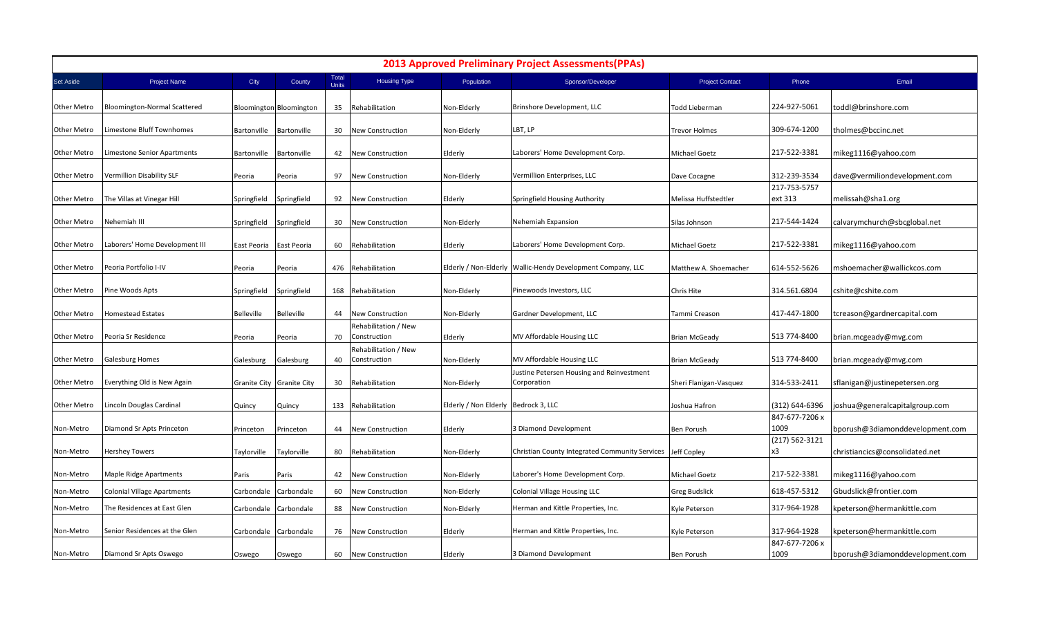| <b>2013 Approved Preliminary Project Assessments (PPAs)</b> |                                    |                   |                                |                       |                                      |                                      |                                                               |                        |                         |                                 |  |  |
|-------------------------------------------------------------|------------------------------------|-------------------|--------------------------------|-----------------------|--------------------------------------|--------------------------------------|---------------------------------------------------------------|------------------------|-------------------------|---------------------------------|--|--|
| Set Aside                                                   | <b>Project Name</b>                | City              | County                         | Total<br><b>Units</b> | <b>Housing Type</b>                  | Population                           | Sponsor/Developer                                             | <b>Project Contact</b> | Phone                   | Email                           |  |  |
| <b>Other Metro</b>                                          | Bloomington-Normal Scattered       |                   | <b>Bloomington Bloomington</b> | 35                    | Rehabilitation                       | Non-Elderly                          | Brinshore Development, LLC                                    | <b>Todd Lieberman</b>  | 224-927-5061            | toddl@brinshore.com             |  |  |
| <b>Other Metro</b>                                          | Limestone Bluff Townhomes          | Bartonville       | Bartonville                    | 30                    | <b>New Construction</b>              | Non-Elderly                          | LBT, LP                                                       | <b>Trevor Holmes</b>   | 309-674-1200            | tholmes@bccinc.net              |  |  |
| Other Metro                                                 | Limestone Senior Apartments        | Bartonville       | Bartonville                    | 42                    | <b>New Construction</b>              | Elderly                              | Laborers' Home Development Corp.                              | Michael Goetz          | 217-522-3381            | mikeg1116@yahoo.com             |  |  |
| <b>Other Metro</b>                                          | Vermillion Disability SLF          | Peoria            | Peoria                         | 97                    | <b>New Construction</b>              | Non-Elderly                          | Vermillion Enterprises, LLC                                   | Dave Cocagne           | 312-239-3534            | dave@vermiliondevelopment.com   |  |  |
| Other Metro                                                 | The Villas at Vinegar Hill         | Springfield       | Springfield                    | 92                    | <b>New Construction</b>              | Elderly                              | Springfield Housing Authority                                 | Melissa Huffstedtler   | 217-753-5757<br>ext 313 | melissah@sha1.org               |  |  |
| Other Metro                                                 | Nehemiah III                       | Springfield       | Springfield                    | 30                    | <b>New Construction</b>              | Non-Elderly                          | Nehemiah Expansion                                            | Silas Johnson          | 217-544-1424            | calvarymchurch@sbcglobal.net    |  |  |
| <b>Other Metro</b>                                          | Laborers' Home Development III     | East Peoria       | East Peoria                    | 60                    | Rehabilitation                       | Elderly                              | Laborers' Home Development Corp.                              | Michael Goetz          | 217-522-3381            | mikeg1116@yahoo.com             |  |  |
| Other Metro                                                 | Peoria Portfolio I-IV              | Peoria            | Peoria                         | 476                   | Rehabilitation                       |                                      | Elderly / Non-Elderly   Wallic-Hendy Development Company, LLC | Matthew A. Shoemacher  | 614-552-5626            | mshoemacher@wallickcos.com      |  |  |
| Other Metro                                                 | Pine Woods Apts                    | Springfield       | Springfield                    | 168                   | Rehabilitation                       | Non-Elderly                          | Pinewoods Investors, LLC                                      | Chris Hite             | 314.561.6804            | cshite@cshite.com               |  |  |
| Other Metro                                                 | Homestead Estates                  | <b>Belleville</b> | <b>Belleville</b>              | 44                    | New Construction                     | Non-Elderly                          | Gardner Development, LLC                                      | Tammi Creason          | 417-447-1800            | tcreason@gardnercapital.com     |  |  |
| <b>Other Metro</b>                                          | Peoria Sr Residence                | Peoria            | Peoria                         | 70                    | Rehabilitation / New<br>Construction | Elderly                              | MV Affordable Housing LLC                                     | <b>Brian McGeady</b>   | 513 774-8400            | brian.mcgeady@mvg.com           |  |  |
| Other Metro                                                 | Galesburg Homes                    | Galesburg         | Galesburg                      | 40                    | Rehabilitation / New<br>Construction | Non-Elderly                          | MV Affordable Housing LLC                                     | <b>Brian McGeady</b>   | 513 774-8400            | brian.mcgeady@mvg.com           |  |  |
| Other Metro                                                 | Everything Old is New Again        |                   | Granite City Granite City      | 30                    | Rehabilitation                       | Non-Elderly                          | Justine Petersen Housing and Reinvestment<br>Corporation      | Sheri Flanigan-Vasquez | 314-533-2411            | sflanigan@justinepetersen.org   |  |  |
| Other Metro                                                 | Lincoln Douglas Cardinal           | Quincy            | Quincy                         | 133                   | Rehabilitation                       | Elderly / Non Elderly Bedrock 3, LLC |                                                               | Joshua Hafron          | (312) 644-6396          | joshua@generalcapitalgroup.com  |  |  |
| Non-Metro                                                   | Diamond Sr Apts Princeton          | Princeton         | Princeton                      | 44                    | <b>New Construction</b>              | Elderly                              | 3 Diamond Development                                         | Ben Porush             | 847-677-7206 x<br>1009  | bporush@3diamonddevelopment.com |  |  |
| Non-Metro                                                   | Hershey Towers                     | Taylorville       | Taylorville                    | 80                    | Rehabilitation                       | Non-Elderly                          | Christian County Integrated Community Services Jeff Copley    |                        | (217) 562-3121<br>x3    | christiancics@consolidated.net  |  |  |
| Non-Metro                                                   | Maple Ridge Apartments             | Paris             | Paris                          | 42                    | <b>New Construction</b>              | Non-Elderly                          | Laborer's Home Development Corp.                              | Michael Goetz          | 217-522-3381            | mikeg1116@yahoo.com             |  |  |
| Non-Metro                                                   | <b>Colonial Village Apartments</b> | Carbondale        | Carbondale                     | 60                    | New Construction                     | Non-Elderly                          | <b>Colonial Village Housing LLC</b>                           | <b>Greg Budslick</b>   | 618-457-5312            | Gbudslick@frontier.com          |  |  |
| Non-Metro                                                   | The Residences at East Glen        | Carbondale        | Carbondale                     | 88                    | New Construction                     | Non-Elderly                          | Herman and Kittle Properties, Inc.                            | Kyle Peterson          | 317-964-1928            | kpeterson@hermankittle.com      |  |  |
| Non-Metro                                                   | Senior Residences at the Glen      | Carbondale        | Carbondale                     | 76                    | New Construction                     | Elderly                              | Herman and Kittle Properties, Inc.                            | Kyle Peterson          | 317-964-1928            | kpeterson@hermankittle.com      |  |  |
| Non-Metro                                                   | Diamond Sr Apts Oswego             | Oswego            | Oswego                         | 60                    | <b>New Construction</b>              | Elderly                              | 3 Diamond Development                                         | Ben Porush             | 847-677-7206 x<br>1009  | bporush@3diamonddevelopment.com |  |  |